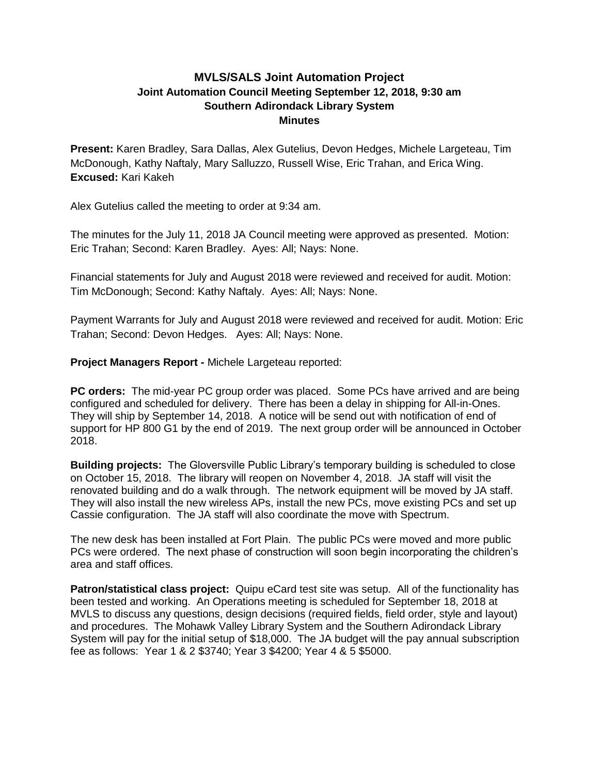## **MVLS/SALS Joint Automation Project Joint Automation Council Meeting September 12, 2018, 9:30 am Southern Adirondack Library System Minutes**

**Present:** Karen Bradley, Sara Dallas, Alex Gutelius, Devon Hedges, Michele Largeteau, Tim McDonough, Kathy Naftaly, Mary Salluzzo, Russell Wise, Eric Trahan, and Erica Wing. **Excused:** Kari Kakeh

Alex Gutelius called the meeting to order at 9:34 am.

The minutes for the July 11, 2018 JA Council meeting were approved as presented. Motion: Eric Trahan; Second: Karen Bradley. Ayes: All; Nays: None.

Financial statements for July and August 2018 were reviewed and received for audit. Motion: Tim McDonough; Second: Kathy Naftaly. Ayes: All; Nays: None.

Payment Warrants for July and August 2018 were reviewed and received for audit. Motion: Eric Trahan; Second: Devon Hedges. Ayes: All; Nays: None.

## **Project Managers Report -** Michele Largeteau reported:

**PC orders:** The mid-year PC group order was placed. Some PCs have arrived and are being configured and scheduled for delivery. There has been a delay in shipping for All-in-Ones. They will ship by September 14, 2018. A notice will be send out with notification of end of support for HP 800 G1 by the end of 2019. The next group order will be announced in October 2018.

**Building projects:** The Gloversville Public Library's temporary building is scheduled to close on October 15, 2018. The library will reopen on November 4, 2018. JA staff will visit the renovated building and do a walk through. The network equipment will be moved by JA staff. They will also install the new wireless APs, install the new PCs, move existing PCs and set up Cassie configuration. The JA staff will also coordinate the move with Spectrum.

The new desk has been installed at Fort Plain. The public PCs were moved and more public PCs were ordered. The next phase of construction will soon begin incorporating the children's area and staff offices.

**Patron/statistical class project:** Quipu eCard test site was setup. All of the functionality has been tested and working. An Operations meeting is scheduled for September 18, 2018 at MVLS to discuss any questions, design decisions (required fields, field order, style and layout) and procedures. The Mohawk Valley Library System and the Southern Adirondack Library System will pay for the initial setup of \$18,000. The JA budget will the pay annual subscription fee as follows: Year 1 & 2 \$3740; Year 3 \$4200; Year 4 & 5 \$5000.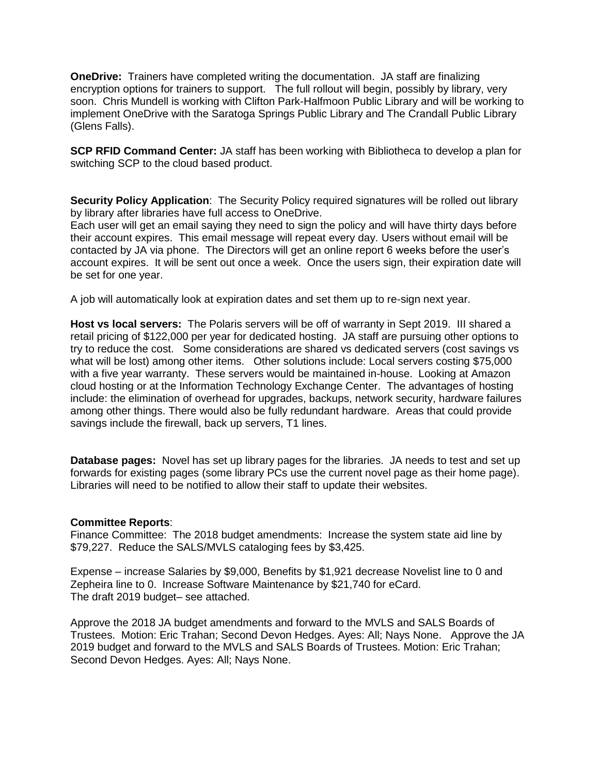**OneDrive:** Trainers have completed writing the documentation. JA staff are finalizing encryption options for trainers to support. The full rollout will begin, possibly by library, very soon. Chris Mundell is working with Clifton Park-Halfmoon Public Library and will be working to implement OneDrive with the Saratoga Springs Public Library and The Crandall Public Library (Glens Falls).

**SCP RFID Command Center:** JA staff has been working with Bibliotheca to develop a plan for switching SCP to the cloud based product.

**Security Policy Application**: The Security Policy required signatures will be rolled out library by library after libraries have full access to OneDrive.

Each user will get an email saying they need to sign the policy and will have thirty days before their account expires. This email message will repeat every day. Users without email will be contacted by JA via phone. The Directors will get an online report 6 weeks before the user's account expires. It will be sent out once a week. Once the users sign, their expiration date will be set for one year.

A job will automatically look at expiration dates and set them up to re-sign next year.

**Host vs local servers:** The Polaris servers will be off of warranty in Sept 2019. III shared a retail pricing of \$122,000 per year for dedicated hosting. JA staff are pursuing other options to try to reduce the cost. Some considerations are shared vs dedicated servers (cost savings vs what will be lost) among other items. Other solutions include: Local servers costing \$75,000 with a five year warranty. These servers would be maintained in-house. Looking at Amazon cloud hosting or at the Information Technology Exchange Center. The advantages of hosting include: the elimination of overhead for upgrades, backups, network security, hardware failures among other things. There would also be fully redundant hardware. Areas that could provide savings include the firewall, back up servers, T1 lines.

**Database pages:** Novel has set up library pages for the libraries. JA needs to test and set up forwards for existing pages (some library PCs use the current novel page as their home page). Libraries will need to be notified to allow their staff to update their websites.

## **Committee Reports**:

Finance Committee: The 2018 budget amendments: Increase the system state aid line by \$79,227. Reduce the SALS/MVLS cataloging fees by \$3,425.

Expense – increase Salaries by \$9,000, Benefits by \$1,921 decrease Novelist line to 0 and Zepheira line to 0. Increase Software Maintenance by \$21,740 for eCard. The draft 2019 budget– see attached.

Approve the 2018 JA budget amendments and forward to the MVLS and SALS Boards of Trustees. Motion: Eric Trahan; Second Devon Hedges. Ayes: All; Nays None. Approve the JA 2019 budget and forward to the MVLS and SALS Boards of Trustees. Motion: Eric Trahan; Second Devon Hedges. Ayes: All; Nays None.